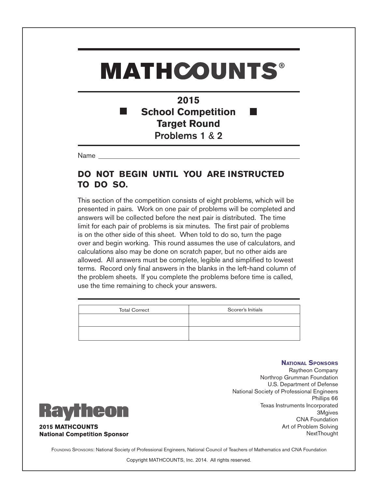#### **2015 School Competition Target Round** Problems 1 & 2

Name

#### **DO NOT BEGIN UNTIL YOU ARE INSTRUCTED TO DO SO.**

This section of the competition consists of eight problems, which will be presented in pairs. Work on one pair of problems will be completed and answers will be collected before the next pair is distributed. The time limit for each pair of problems is six minutes. The first pair of problems is on the other side of this sheet. When told to do so, turn the page over and begin working. This round assumes the use of calculators, and calculations also may be done on scratch paper, but no other aids are allowed. All answers must be complete, legible and simplified to lowest terms. Record only final answers in the blanks in the left-hand column of the problem sheets. If you complete the problems before time is called, use the time remaining to check your answers.

| <b>Total Correct</b> | Scorer's Initials |
|----------------------|-------------------|
|                      |                   |
|                      |                   |

#### **National Sponsors**



Raytheon Company Northrop Grumman Foundation U.S. Department of Defense National Society of Professional Engineers Phillips 66 Texas Instruments Incorporated 3Mgives CNA Foundation Art of Problem Solving **NextThought** 

FOUNDING SPONSORS: National Society of Professional Engineers, National Council of Teachers of Mathematics and CNA Foundation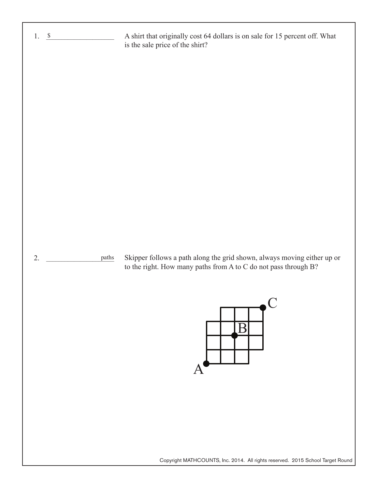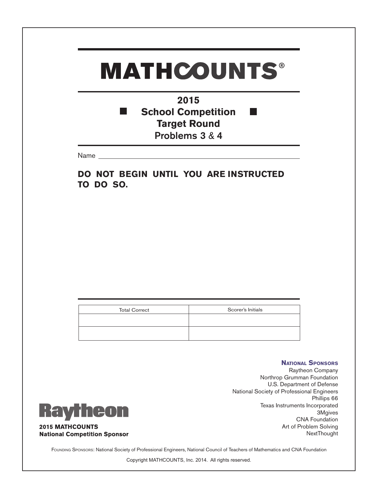#### **2015 School Competition** T. **Target Round** Problems 3 & 4

Name

**DO NOT BEGIN UNTIL YOU ARE INSTRUCTED TO DO SO.**

| <b>Total Correct</b> | Scorer's Initials |
|----------------------|-------------------|
|                      |                   |
|                      |                   |
|                      |                   |
|                      |                   |



**National Sponsors** Raytheon Company Northrop Grumman Foundation U.S. Department of Defense National Society of Professional Engineers Phillips 66 Texas Instruments Incorporated 3Mgives CNA Foundation Art of Problem Solving **NextThought** 

Founding Sponsors: National Society of Professional Engineers, National Council of Teachers of Mathematics and CNA Foundation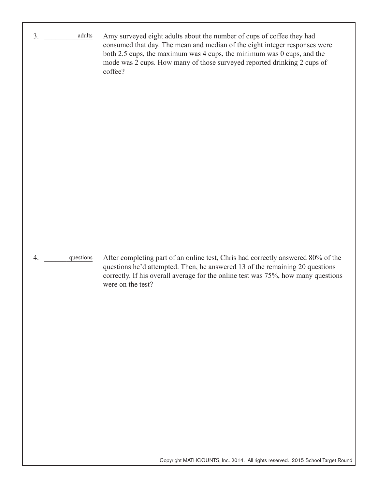$3.$ 4. \_\_\_\_\_\_\_\_\_\_\_\_\_ questions Amy surveyed eight adults about the number of cups of coffee they had consumed that day. The mean and median of the eight integer responses were both 2.5 cups, the maximum was 4 cups, the minimum was 0 cups, and the mode was 2 cups. How many of those surveyed reported drinking 2 cups of coffee? After completing part of an online test, Chris had correctly answered 80% of the questions he'd attempted. Then, he answered 13 of the remaining 20 questions correctly. If his overall average for the online test was 75%, how many questions were on the test? adults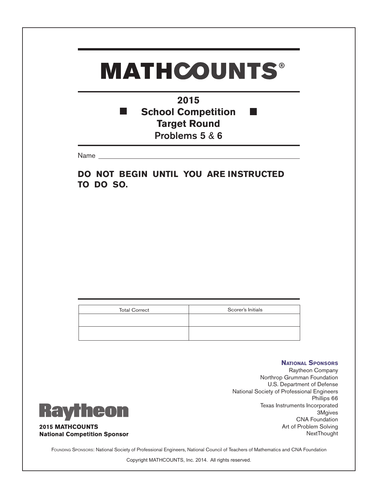**2015 School Competition** T. **Target Round** Problems 5 & 6

Name

**DO NOT BEGIN UNTIL YOU ARE INSTRUCTED TO DO SO.**

| <b>Total Correct</b> | Scorer's Initials |
|----------------------|-------------------|
|                      |                   |
|                      |                   |
|                      |                   |
|                      |                   |



**National Sponsors** Raytheon Company Northrop Grumman Foundation U.S. Department of Defense National Society of Professional Engineers Phillips 66 Texas Instruments Incorporated 3Mgives CNA Foundation Art of Problem Solving **NextThought** 

FOUNDING SPONSORS: National Society of Professional Engineers, National Council of Teachers of Mathematics and CNA Foundation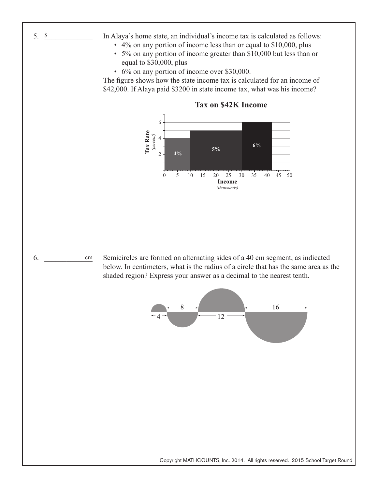- In Alaya's home state, an individual's income tax is calculated as follows:
	- 4% on any portion of income less than or equal to \$10,000, plus
	- 5% on any portion of income greater than \$10,000 but less than or equal to \$30,000, plus
	- 6% on any portion of income over \$30,000.

The figure shows how the state income tax is calculated for an income of \$42,000. If Alaya paid \$3200 in state income tax, what was his income?



**Tax on \$42K Income**

6. cm

Semicircles are formed on alternating sides of a 40 cm segment, as indicated below. In centimeters, what is the radius of a circle that has the same area as the shaded region? Express your answer as a decimal to the nearest tenth.



Copyright MATHCOUNTS, Inc. 2014. All rights reserved. 2015 School Target Round

5.  $\frac{\$}{\$}$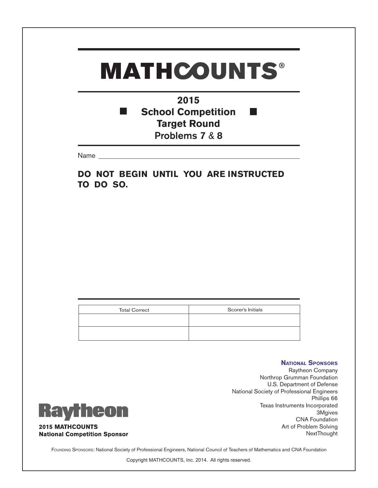**2015 School Competition** T. **Target Round** Problems 7 & 8

Name

**DO NOT BEGIN UNTIL YOU ARE INSTRUCTED TO DO SO.**

| <b>Total Correct</b> | Scorer's Initials |
|----------------------|-------------------|
|                      |                   |
|                      |                   |
|                      |                   |
|                      |                   |



**National Sponsors** Raytheon Company Northrop Grumman Foundation U.S. Department of Defense National Society of Professional Engineers Phillips 66 Texas Instruments Incorporated 3Mgives CNA Foundation Art of Problem Solving NextThought

FOUNDING SPONSORS: National Society of Professional Engineers, National Council of Teachers of Mathematics and CNA Foundation